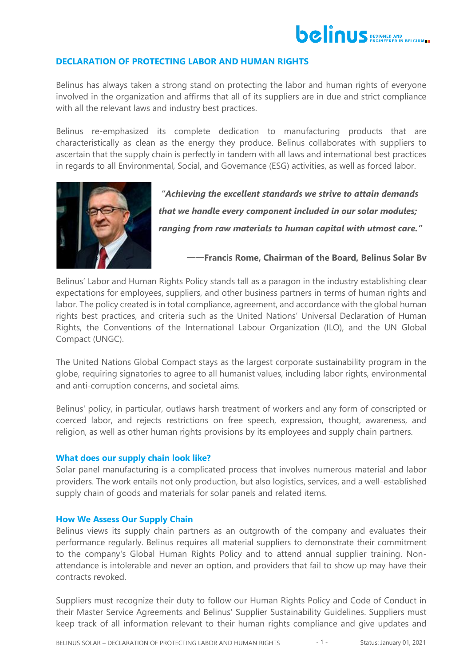

# **DECLARATION OF PROTECTING LABOR AND HUMAN RIGHTS**

Belinus has always taken a strong stand on protecting the labor and human rights of everyone involved in the organization and affirms that all of its suppliers are in due and strict compliance with all the relevant laws and industry best practices.

Belinus re-emphasized its complete dedication to manufacturing products that are characteristically as clean as the energy they produce. Belinus collaborates with suppliers to ascertain that the supply chain is perfectly in tandem with all laws and international best practices in regards to all Environmental, Social, and Governance (ESG) activities, as well as forced labor.



*"Achieving the excellent standards we strive to attain demands that we handle every component included in our solar modules; ranging from raw materials to human capital with utmost care."*

——**Francis Rome, Chairman of the Board, Belinus Solar Bv**

Belinus' [Labor and Human Rights Policy](https://www.belinus.be/news-2/belinus-labor-and-human-rights-policy) stands tall as a paragon in the industry establishing clear expectations for employees, suppliers, and other business partners in terms of human rights and labor. The policy created is in total compliance, agreement, and accordance with the global human rights best practices, and criteria such as the United Nations' Universal Declaration of Human Rights, the Conventions of the International Labour Organization (ILO), and the UN Global Compact (UNGC).

The United Nations Global Compact stays as the largest corporate sustainability program in the globe, requiring signatories to agree to all humanist values, including labor rights, environmental and anti-corruption concerns, and societal aims.

Belinus' policy, in particular, outlaws harsh treatment of workers and any form of conscripted or coerced labor, and rejects restrictions on free speech, expression, thought, awareness, and religion, as well as other human rights provisions by its employees and supply chain partners.

### **What does our supply chain look like?**

Solar panel manufacturing is a complicated process that involves numerous material and labor providers. The work entails not only production, but also logistics, services, and a well-established supply chain of goods and materials for solar panels and related items.

### **How We Assess Our Supply Chain**

Belinus views its supply chain partners as an outgrowth of the company and evaluates their performance regularly. Belinus requires all material suppliers to demonstrate their commitment to the company's Global Human Rights Policy and to attend annual supplier training. Nonattendance is intolerable and never an option, and providers that fail to show up may have their contracts revoked.

Suppliers must recognize their duty to follow our Human Rights Policy and Code of Conduct in their Master Service Agreements and Belinus' Supplier Sustainability Guidelines. Suppliers must keep track of all information relevant to their human rights compliance and give updates and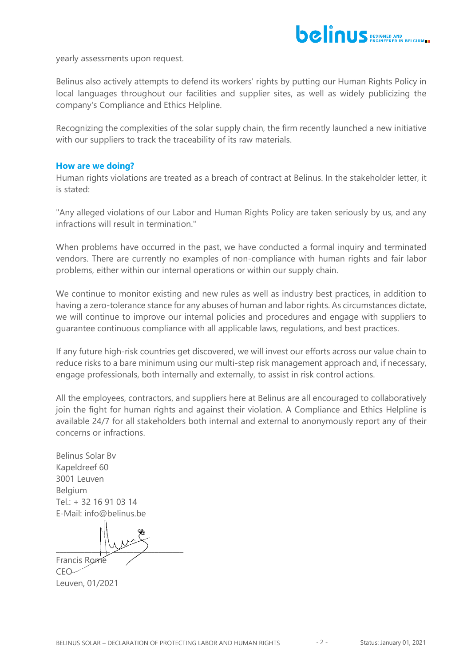

yearly assessments upon request.

Belinus also actively attempts to defend its workers' rights by putting our Human Rights Policy in local languages throughout our facilities and supplier sites, as well as widely publicizing the company's Compliance and Ethics Helpline.

Recognizing the complexities of the solar supply chain, the firm recently launched a new initiative with our suppliers to track the traceability of its raw materials.

## **How are we doing?**

Human rights violations are treated as a breach of contract at Belinus. In the stakeholder letter, it is stated:

"Any alleged violations of our Labor and Human Rights Policy are taken seriously by us, and any infractions will result in termination."

When problems have occurred in the past, we have conducted a formal inquiry and terminated vendors. There are currently no examples of non-compliance with human rights and fair labor problems, either within our internal operations or within our supply chain.

We continue to monitor existing and new rules as well as industry best practices, in addition to having a zero-tolerance stance for any abuses of human and labor rights. As circumstances dictate, we will continue to improve our internal policies and procedures and engage with suppliers to guarantee continuous compliance with all applicable laws, regulations, and best practices.

If any future high-risk countries get discovered, we will invest our efforts across our value chain to reduce risks to a bare minimum using our multi-step risk management approach and, if necessary, engage professionals, both internally and externally, to assist in risk control actions.

All the employees, contractors, and suppliers here at Belinus are all encouraged to collaboratively join the fight for human rights and against their violation. A Compliance and Ethics Helpline is available 24/7 for all stakeholders both internal and external to anonymously report any of their concerns or infractions.

Belinus Solar Bv Kapeldreef 60 3001 Leuven Belgium Tel.: + 32 16 91 03 14 E-Mail: info@belinus.be

 $\frac{1}{2}$ Francis Rome

 $CFO-$ Leuven, 01/2021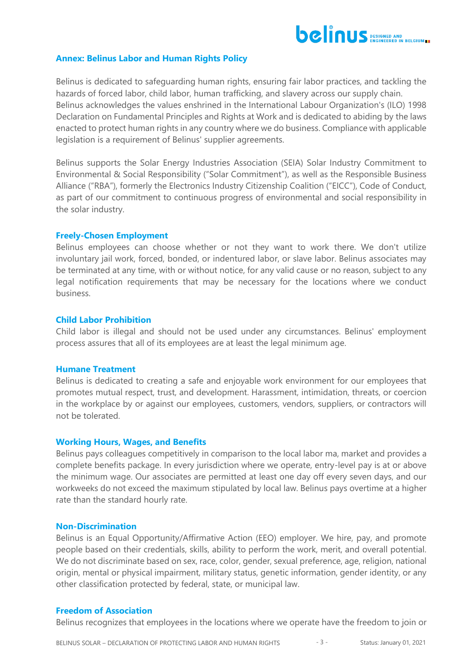

## **Annex: Belinus Labor and Human Rights Policy**

Belinus is dedicated to safeguarding human rights, ensuring fair labor practices, and tackling the hazards of forced labor, child labor, human trafficking, and slavery across our supply chain. Belinus acknowledges the values enshrined in the International Labour Organization's (ILO) 1998 Declaration on Fundamental Principles and Rights at Work and is dedicated to abiding by the laws enacted to protect human rights in any country where we do business. Compliance with applicable legislation is a requirement of Belinus' supplier agreements.

Belinus supports the Solar Energy Industries Association (SEIA) Solar Industry Commitment to Environmental & Social Responsibility ("Solar Commitment"), as well as the Responsible Business Alliance ("RBA"), formerly the Electronics Industry Citizenship Coalition ("EICC"), Code of Conduct, as part of our commitment to continuous progress of environmental and social responsibility in the solar industry.

### **Freely-Chosen Employment**

Belinus employees can choose whether or not they want to work there. We don't utilize involuntary jail work, forced, bonded, or indentured labor, or slave labor. Belinus associates may be terminated at any time, with or without notice, for any valid cause or no reason, subject to any legal notification requirements that may be necessary for the locations where we conduct business.

## **Child Labor Prohibition**

Child labor is illegal and should not be used under any circumstances. Belinus' employment process assures that all of its employees are at least the legal minimum age.

### **Humane Treatment**

Belinus is dedicated to creating a safe and enjoyable work environment for our employees that promotes mutual respect, trust, and development. Harassment, intimidation, threats, or coercion in the workplace by or against our employees, customers, vendors, suppliers, or contractors will not be tolerated.

### **Working Hours, Wages, and Benefits**

Belinus pays colleagues competitively in comparison to the local labor ma, market and provides a complete benefits package. In every jurisdiction where we operate, entry-level pay is at or above the minimum wage. Our associates are permitted at least one day off every seven days, and our workweeks do not exceed the maximum stipulated by local law. Belinus pays overtime at a higher rate than the standard hourly rate.

### **Non-Discrimination**

Belinus is an Equal Opportunity/Affirmative Action (EEO) employer. We hire, pay, and promote people based on their credentials, skills, ability to perform the work, merit, and overall potential. We do not discriminate based on sex, race, color, gender, sexual preference, age, religion, national origin, mental or physical impairment, military status, genetic information, gender identity, or any other classification protected by federal, state, or municipal law.

# **Freedom of Association**

Belinus recognizes that employees in the locations where we operate have the freedom to join or